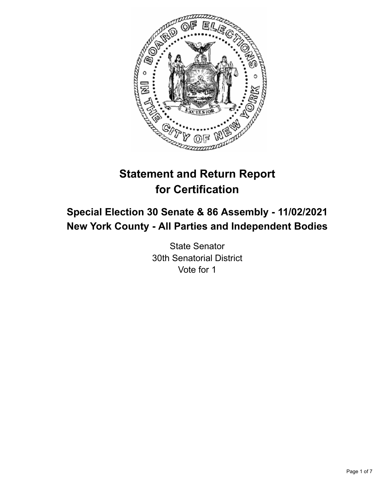

# **Statement and Return Report for Certification**

# **Special Election 30 Senate & 86 Assembly - 11/02/2021 New York County - All Parties and Independent Bodies**

State Senator 30th Senatorial District Vote for 1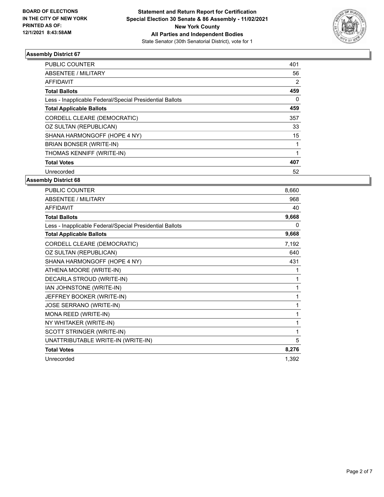

| <b>PUBLIC COUNTER</b>                                    | 401 |
|----------------------------------------------------------|-----|
| ABSENTEE / MILITARY                                      | 56  |
| AFFIDAVIT                                                | 2   |
| <b>Total Ballots</b>                                     | 459 |
| Less - Inapplicable Federal/Special Presidential Ballots | 0   |
| <b>Total Applicable Ballots</b>                          | 459 |
| CORDELL CLEARE (DEMOCRATIC)                              | 357 |
| OZ SULTAN (REPUBLICAN)                                   | 33  |
| SHANA HARMONGOFF (HOPE 4 NY)                             | 15  |
| BRIAN BONSER (WRITE-IN)                                  |     |
| THOMAS KENNIFF (WRITE-IN)                                |     |
| <b>Total Votes</b>                                       | 407 |
| Unrecorded                                               | 52  |
|                                                          |     |

| PUBLIC COUNTER                                           | 8,660 |
|----------------------------------------------------------|-------|
| ABSENTEE / MILITARY                                      | 968   |
| <b>AFFIDAVIT</b>                                         | 40    |
| <b>Total Ballots</b>                                     | 9,668 |
| Less - Inapplicable Federal/Special Presidential Ballots | 0     |
| <b>Total Applicable Ballots</b>                          | 9,668 |
| CORDELL CLEARE (DEMOCRATIC)                              | 7,192 |
| OZ SULTAN (REPUBLICAN)                                   | 640   |
| SHANA HARMONGOFF (HOPE 4 NY)                             | 431   |
| ATHENA MOORE (WRITE-IN)                                  | 1     |
| DECARLA STROUD (WRITE-IN)                                | 1     |
| IAN JOHNSTONE (WRITE-IN)                                 | 1     |
| JEFFREY BOOKER (WRITE-IN)                                | 1     |
| JOSE SERRANO (WRITE-IN)                                  | 1     |
| MONA REED (WRITE-IN)                                     | 1     |
| NY WHITAKER (WRITE-IN)                                   | 1     |
| SCOTT STRINGER (WRITE-IN)                                | 1     |
| UNATTRIBUTABLE WRITE-IN (WRITE-IN)                       | 5     |
| <b>Total Votes</b>                                       | 8,276 |
| Unrecorded                                               | 1,392 |
|                                                          |       |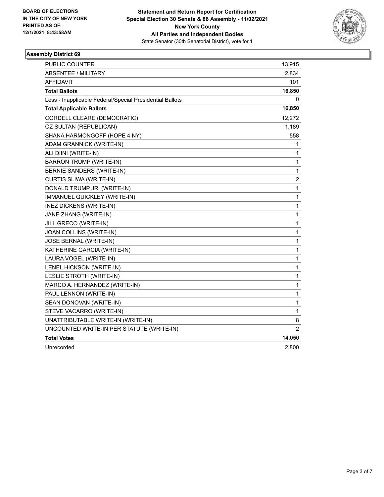

| <b>PUBLIC COUNTER</b>                                    | 13,915                  |
|----------------------------------------------------------|-------------------------|
| <b>ABSENTEE / MILITARY</b>                               | 2,834                   |
| AFFIDAVIT                                                | 101                     |
| <b>Total Ballots</b>                                     | 16,850                  |
| Less - Inapplicable Federal/Special Presidential Ballots | 0                       |
| <b>Total Applicable Ballots</b>                          | 16,850                  |
| CORDELL CLEARE (DEMOCRATIC)                              | 12,272                  |
| OZ SULTAN (REPUBLICAN)                                   | 1,189                   |
| SHANA HARMONGOFF (HOPE 4 NY)                             | 558                     |
| ADAM GRANNICK (WRITE-IN)                                 | 1                       |
| ALI DIINI (WRITE-IN)                                     | 1                       |
| <b>BARRON TRUMP (WRITE-IN)</b>                           | 1                       |
| BERNIE SANDERS (WRITE-IN)                                | 1                       |
| CURTIS SLIWA (WRITE-IN)                                  | $\overline{\mathbf{c}}$ |
| DONALD TRUMP JR. (WRITE-IN)                              | 1                       |
| IMMANUEL QUICKLEY (WRITE-IN)                             | 1                       |
| INEZ DICKENS (WRITE-IN)                                  | 1                       |
| JANE ZHANG (WRITE-IN)                                    | 1                       |
| JILL GRECO (WRITE-IN)                                    | 1                       |
| JOAN COLLINS (WRITE-IN)                                  | $\mathbf{1}$            |
| <b>JOSE BERNAL (WRITE-IN)</b>                            | 1                       |
| KATHERINE GARCIA (WRITE-IN)                              | 1                       |
| LAURA VOGEL (WRITE-IN)                                   | 1                       |
| LENEL HICKSON (WRITE-IN)                                 | $\mathbf{1}$            |
| LESLIE STROTH (WRITE-IN)                                 | 1                       |
| MARCO A. HERNANDEZ (WRITE-IN)                            | 1                       |
| PAUL LENNON (WRITE-IN)                                   | 1                       |
| SEAN DONOVAN (WRITE-IN)                                  | $\mathbf{1}$            |
| STEVE VACARRO (WRITE-IN)                                 | 1                       |
| UNATTRIBUTABLE WRITE-IN (WRITE-IN)                       | 8                       |
| UNCOUNTED WRITE-IN PER STATUTE (WRITE-IN)                | 2                       |
| <b>Total Votes</b>                                       | 14,050                  |
| Unrecorded                                               | 2,800                   |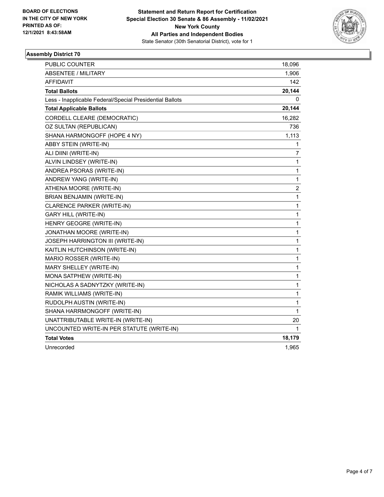

| PUBLIC COUNTER                                           | 18,096                  |
|----------------------------------------------------------|-------------------------|
| <b>ABSENTEE / MILITARY</b>                               | 1,906                   |
| AFFIDAVIT                                                | 142                     |
| <b>Total Ballots</b>                                     | 20,144                  |
| Less - Inapplicable Federal/Special Presidential Ballots | 0                       |
| <b>Total Applicable Ballots</b>                          | 20,144                  |
| CORDELL CLEARE (DEMOCRATIC)                              | 16,282                  |
| OZ SULTAN (REPUBLICAN)                                   | 736                     |
| SHANA HARMONGOFF (HOPE 4 NY)                             | 1,113                   |
| ABBY STEIN (WRITE-IN)                                    | 1                       |
| ALI DIINI (WRITE-IN)                                     | 7                       |
| ALVIN LINDSEY (WRITE-IN)                                 | 1                       |
| ANDREA PSORAS (WRITE-IN)                                 | 1                       |
| ANDREW YANG (WRITE-IN)                                   | 1                       |
| ATHENA MOORE (WRITE-IN)                                  | $\overline{\mathbf{c}}$ |
| BRIAN BENJAMIN (WRITE-IN)                                | 1                       |
| CLARENCE PARKER (WRITE-IN)                               | 1                       |
| <b>GARY HILL (WRITE-IN)</b>                              | 1                       |
| HENRY GEOGRE (WRITE-IN)                                  | 1                       |
| JONATHAN MOORE (WRITE-IN)                                | 1                       |
| JOSEPH HARRINGTON III (WRITE-IN)                         | 1                       |
| KAITLIN HUTCHINSON (WRITE-IN)                            | 1                       |
| MARIO ROSSER (WRITE-IN)                                  | 1                       |
| MARY SHELLEY (WRITE-IN)                                  | 1                       |
| MONA SATPHEW (WRITE-IN)                                  | 1                       |
| NICHOLAS A SADNYTZKY (WRITE-IN)                          | 1                       |
| RAMIK WILLIAMS (WRITE-IN)                                | 1                       |
| RUDOLPH AUSTIN (WRITE-IN)                                | 1                       |
| SHANA HARRMONGOFF (WRITE-IN)                             | 1                       |
| UNATTRIBUTABLE WRITE-IN (WRITE-IN)                       | 20                      |
| UNCOUNTED WRITE-IN PER STATUTE (WRITE-IN)                | 1                       |
| <b>Total Votes</b>                                       | 18,179                  |
| Unrecorded                                               | 1,965                   |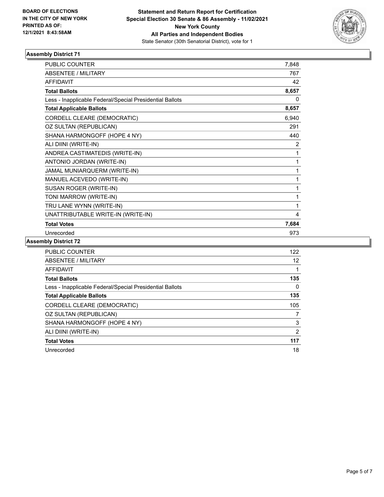

| <b>PUBLIC COUNTER</b>                                    | 7,848 |
|----------------------------------------------------------|-------|
| ABSENTEE / MILITARY                                      | 767   |
| <b>AFFIDAVIT</b>                                         | 42    |
| <b>Total Ballots</b>                                     | 8,657 |
| Less - Inapplicable Federal/Special Presidential Ballots | 0     |
| <b>Total Applicable Ballots</b>                          | 8,657 |
| CORDELL CLEARE (DEMOCRATIC)                              | 6,940 |
| OZ SULTAN (REPUBLICAN)                                   | 291   |
| SHANA HARMONGOFF (HOPE 4 NY)                             | 440   |
| ALI DIINI (WRITE-IN)                                     | 2     |
| ANDREA CASTIMATEDIS (WRITE-IN)                           | 1     |
| ANTONIO JORDAN (WRITE-IN)                                | 1     |
| JAMAL MUNIARQUERM (WRITE-IN)                             | 1     |
| MANUEL ACEVEDO (WRITE-IN)                                | 1     |
| SUSAN ROGER (WRITE-IN)                                   | 1     |
| TONI MARROW (WRITE-IN)                                   | 1     |
| TRU LANE WYNN (WRITE-IN)                                 | 1     |
| UNATTRIBUTABLE WRITE-IN (WRITE-IN)                       | 4     |
| <b>Total Votes</b>                                       | 7,684 |
| Unrecorded                                               | 973   |

| PUBLIC COUNTER                                           | 122            |
|----------------------------------------------------------|----------------|
| ABSENTEE / MILITARY                                      | 12             |
| AFFIDAVIT                                                |                |
| <b>Total Ballots</b>                                     | 135            |
| Less - Inapplicable Federal/Special Presidential Ballots | 0              |
| <b>Total Applicable Ballots</b>                          | 135            |
| CORDELL CLEARE (DEMOCRATIC)                              | 105            |
| OZ SULTAN (REPUBLICAN)                                   | 7              |
| SHANA HARMONGOFF (HOPE 4 NY)                             | 3              |
| ALI DIINI (WRITE-IN)                                     | $\overline{2}$ |
| <b>Total Votes</b>                                       | 117            |
| Unrecorded                                               | 18             |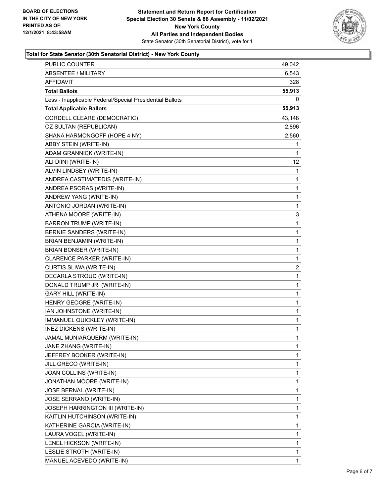

#### **Total for State Senator (30th Senatorial District) - New York County**

| <b>PUBLIC COUNTER</b>                                    | 49,042       |
|----------------------------------------------------------|--------------|
| <b>ABSENTEE / MILITARY</b>                               | 6,543        |
| <b>AFFIDAVIT</b>                                         | 328          |
| <b>Total Ballots</b>                                     | 55,913       |
| Less - Inapplicable Federal/Special Presidential Ballots | 0            |
| <b>Total Applicable Ballots</b>                          | 55,913       |
| CORDELL CLEARE (DEMOCRATIC)                              | 43,148       |
| OZ SULTAN (REPUBLICAN)                                   | 2,896        |
| SHANA HARMONGOFF (HOPE 4 NY)                             | 2,560        |
| ABBY STEIN (WRITE-IN)                                    | 1            |
| ADAM GRANNICK (WRITE-IN)                                 | 1            |
| ALI DIINI (WRITE-IN)                                     | 12           |
| ALVIN LINDSEY (WRITE-IN)                                 | 1            |
| ANDREA CASTIMATEDIS (WRITE-IN)                           | 1            |
| ANDREA PSORAS (WRITE-IN)                                 | 1            |
| ANDREW YANG (WRITE-IN)                                   | 1            |
| ANTONIO JORDAN (WRITE-IN)                                | 1            |
| ATHENA MOORE (WRITE-IN)                                  | 3            |
| <b>BARRON TRUMP (WRITE-IN)</b>                           | 1            |
| BERNIE SANDERS (WRITE-IN)                                | 1            |
| BRIAN BENJAMIN (WRITE-IN)                                | 1            |
| BRIAN BONSER (WRITE-IN)                                  | 1            |
| CLARENCE PARKER (WRITE-IN)                               | 1            |
| CURTIS SLIWA (WRITE-IN)                                  | 2            |
| DECARLA STROUD (WRITE-IN)                                | 1            |
| DONALD TRUMP JR. (WRITE-IN)                              | 1            |
| <b>GARY HILL (WRITE-IN)</b>                              | 1            |
| HENRY GEOGRE (WRITE-IN)                                  | 1            |
| IAN JOHNSTONE (WRITE-IN)                                 | 1            |
| IMMANUEL QUICKLEY (WRITE-IN)                             | 1            |
| INEZ DICKENS (WRITE-IN)                                  | 1            |
| JAMAL MUNIARQUERM (WRITE-IN)                             | $\mathbf 1$  |
| JANE ZHANG (WRITE-IN)                                    | 1            |
| JEFFREY BOOKER (WRITE-IN)                                | 1            |
| JILL GRECO (WRITE-IN)                                    | 1            |
| JOAN COLLINS (WRITE-IN)                                  | 1            |
| JONATHAN MOORE (WRITE-IN)                                | 1            |
| JOSE BERNAL (WRITE-IN)                                   | 1            |
| JOSE SERRANO (WRITE-IN)                                  | 1            |
| JOSEPH HARRINGTON III (WRITE-IN)                         | 1            |
| KAITLIN HUTCHINSON (WRITE-IN)                            | 1            |
| KATHERINE GARCIA (WRITE-IN)                              | 1            |
| LAURA VOGEL (WRITE-IN)                                   | 1            |
| LENEL HICKSON (WRITE-IN)                                 | 1            |
| LESLIE STROTH (WRITE-IN)                                 | 1            |
| MANUEL ACEVEDO (WRITE-IN)                                | $\mathbf{1}$ |